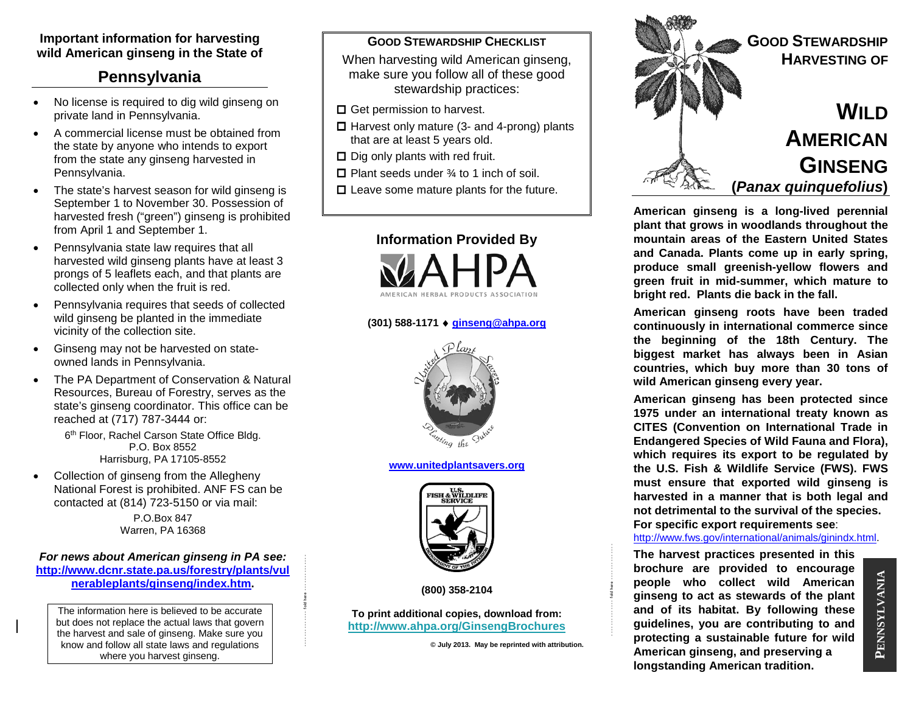## **Important information for harvesting wild American ginseng in the State of**

# **Pennsylvania**

- No license is required to dig wild ginseng on private land in Pennsylvania.
- A commercial license must be obtained from the state by anyone who intends to export from the state any ginseng harvested in Pennsylvania.
- The state's harvest season for wild ginseng is September 1 to November 30. Possession of harvested fresh ("green") ginseng is prohibited from April 1 and September 1.
- Pennsylvania state law requires that all harvested wild ginseng plants have at least 3 prongs of 5 leaflets each, and that plants are collected only when the fruit is red.
- Pennsylvania requires that seeds of collected wild ginseng be planted in the immediate vicinity of the collection site.
- Ginseng may not be harvested on stateowned lands in Pennsylvania.
- The PA Department of Conservation & Natural Resources, Bureau of Forestry, serves as the state's ginseng coordinator. This office can be reached at (717) 787-3444 or:

6<sup>th</sup> Floor, Rachel Carson State Office Bldg. P.O. Box 8552 Harrisburg, PA 17105-8552

Collection of ginseng from the Allegheny National Forest is prohibited. ANF FS can be contacted at (814) 723-5150 or via mail:

> P.O.Box 847 Warren, PA 16368

#### *For news about American ginseng in PA see:*  **[http://www.dcnr.state.pa.us/forestry/plants/vul](http://www.dcnr.state.pa.us/forestry/plants/vulnerableplants/ginseng/index.htm) [nerableplants/ginseng/index.htm.](http://www.dcnr.state.pa.us/forestry/plants/vulnerableplants/ginseng/index.htm)**

- - - - - - - - - - - - - fold here - - - - - - - - - - - - - -

The information here is believed to be accurate but does not replace the actual laws that govern the harvest and sale of ginseng. Make sure you know and follow all state laws and regulations where you harvest ginseng.

#### **GOOD STEWARDSHIP CHECKLIST**

When harvesting wild American ginseng, make sure you follow all of these good stewardship practices:

- $\Box$  Get permission to harvest.
- $\Box$  Harvest only mature (3- and 4-prong) plants that are at least 5 years old.
- $\square$  Dig only plants with red fruit.
- $\Box$  Plant seeds under  $\frac{3}{4}$  to 1 inch of soil.
- $\Box$  Leave some mature plants for the future.



#### **(301) 588-1171** ♦ **[ginseng@ahpa.org](mailto:ginseng@ahpa.org)**



**[www.unitedplantsavers.org](http://www.unitedplantsavers.org/)**



**(800) 358-2104**

**To print additional copies, download from: <http://www.ahpa.org/GinsengBrochures>**

**© July 2013. May be reprinted with attribution.**

- - - - - - - - - - - - - fold here - - - - - - - - - - - - - -



**American ginseng is a long-lived perennial plant that grows in woodlands throughout the mountain areas of the Eastern United States and Canada. Plants come up in early spring, produce small greenish-yellow flowers and green fruit in mid-summer, which mature to bright red. Plants die back in the fall.** 

**American ginseng roots have been traded continuously in international commerce since the beginning of the 18th Century. The biggest market has always been in Asian countries, which buy more than 30 tons of wild American ginseng every year.**

**American ginseng has been protected since 1975 under an international treaty known as CITES (Convention on International Trade in Endangered Species of Wild Fauna and Flora), which requires its export to be regulated by the U.S. Fish & Wildlife Service (FWS). FWS must ensure that exported wild ginseng is harvested in a manner that is both legal and not detrimental to the survival of the species. For specific export requirements see**:

[http://www.fws.gov/international/animals/ginindx.html.](http://www.fws.gov/international/animals/ginindx.html)

**The harvest practices presented in this brochure are provided to encourage people who collect wild American ginseng to act as stewards of the plant and of its habitat. By following these guidelines, you are contributing to and protecting a sustainable future for wild American ginseng, and preserving a longstanding American tradition.**